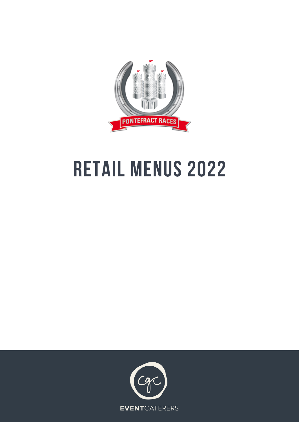

# **RETAIL MENUS 2022**

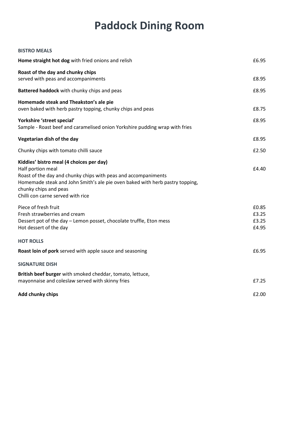# **Paddock Dining Room**

| <b>BISTRO MEALS</b>                                                                                                                                                                                                                                                           |                                  |
|-------------------------------------------------------------------------------------------------------------------------------------------------------------------------------------------------------------------------------------------------------------------------------|----------------------------------|
| Home straight hot dog with fried onions and relish                                                                                                                                                                                                                            | £6.95                            |
| Roast of the day and chunky chips<br>served with peas and accompaniments                                                                                                                                                                                                      | £8.95                            |
| Battered haddock with chunky chips and peas                                                                                                                                                                                                                                   | £8.95                            |
| Homemade steak and Theakston's ale pie<br>oven baked with herb pastry topping, chunky chips and peas                                                                                                                                                                          | £8.75                            |
| Yorkshire 'street special'<br>Sample - Roast beef and caramelised onion Yorkshire pudding wrap with fries                                                                                                                                                                     | £8.95                            |
| Vegetarian dish of the day                                                                                                                                                                                                                                                    | £8.95                            |
| Chunky chips with tomato chilli sauce                                                                                                                                                                                                                                         | £2.50                            |
| Kiddies' bistro meal (4 choices per day)<br>Half portion meal<br>Roast of the day and chunky chips with peas and accompaniments<br>Homemade steak and John Smith's ale pie oven baked with herb pastry topping,<br>chunky chips and peas<br>Chilli con carne served with rice | £4.40                            |
| Piece of fresh fruit<br>Fresh strawberries and cream<br>Dessert pot of the day - Lemon posset, chocolate truffle, Eton mess<br>Hot dessert of the day                                                                                                                         | £0.85<br>£3.25<br>£3.25<br>£4.95 |
| <b>HOT ROLLS</b>                                                                                                                                                                                                                                                              |                                  |
| Roast loin of pork served with apple sauce and seasoning                                                                                                                                                                                                                      | £6.95                            |
| <b>SIGNATURE DISH</b>                                                                                                                                                                                                                                                         |                                  |
| British beef burger with smoked cheddar, tomato, lettuce,<br>mayonnaise and coleslaw served with skinny fries                                                                                                                                                                 | £7.25                            |
| <b>Add chunky chips</b>                                                                                                                                                                                                                                                       | £2.00                            |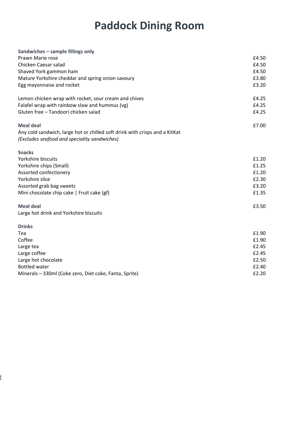# **Paddock Dining Room**

| Sandwiches - sample fillings only                                                                                           |       |
|-----------------------------------------------------------------------------------------------------------------------------|-------|
| Prawn Marie rose                                                                                                            | £4.50 |
| Chicken Caesar salad                                                                                                        | £4.50 |
| Shaved York gammon ham                                                                                                      | £4.50 |
| Mature Yorkshire cheddar and spring onion savoury                                                                           | £3.80 |
| Egg mayonnaise and rocket                                                                                                   | £3.20 |
| Lemon chicken wrap with rocket, sour cream and chives                                                                       | £4.25 |
| Falafel wrap with rainbow slaw and hummus (vg)                                                                              | £4.25 |
| Gluten free - Tandoori chicken salad                                                                                        | £4.25 |
| <b>Meal deal</b>                                                                                                            | £7.00 |
| Any cold sandwich, large hot or chilled soft drink with crisps and a KitKat<br>(Excludes seafood and speciality sandwiches) |       |
| <b>Snacks</b>                                                                                                               |       |
| Yorkshire biscuits                                                                                                          | £1.20 |
| Yorkshire chips (Small)                                                                                                     | £1.25 |
| Assorted confectionery                                                                                                      | £1.20 |
| Yorkshire slice                                                                                                             | £2.30 |
| Assorted grab bag sweets                                                                                                    | £3.20 |
| Mini chocolate chip cake   Fruit cake (gf)                                                                                  | £1.35 |
| <b>Meal deal</b>                                                                                                            | £3.50 |
| Large hot drink and Yorkshire biscuits                                                                                      |       |
| <b>Drinks</b>                                                                                                               |       |
| Tea                                                                                                                         | £1.90 |
| Coffee                                                                                                                      | £1.90 |
| Large tea                                                                                                                   | £2.45 |
| Large coffee                                                                                                                | £2.45 |
| Large hot chocolate                                                                                                         | £2.50 |
| <b>Bottled water</b>                                                                                                        | £2.40 |
| Minerals - 330ml (Coke zero, Diet coke, Fanta, Sprite)                                                                      | £2.20 |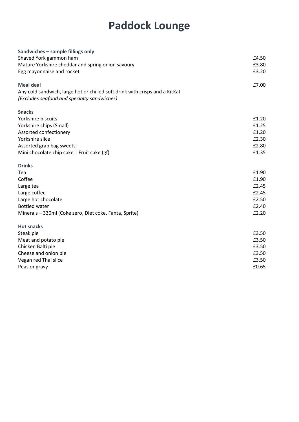## **Paddock Lounge**

| Sandwiches - sample fillings only                                           |       |
|-----------------------------------------------------------------------------|-------|
| Shaved York gammon ham                                                      | £4.50 |
| Mature Yorkshire cheddar and spring onion savoury                           | £3.80 |
| Egg mayonnaise and rocket                                                   | £3.20 |
| <b>Meal deal</b>                                                            | £7.00 |
| Any cold sandwich, large hot or chilled soft drink with crisps and a KitKat |       |
| (Excludes seafood and specialty sandwiches)                                 |       |
| <b>Snacks</b>                                                               |       |
| Yorkshire biscuits                                                          | £1.20 |
| Yorkshire chips (Small)                                                     | £1.25 |
| Assorted confectionery                                                      | £1.20 |
| Yorkshire slice                                                             | £2.30 |
| Assorted grab bag sweets                                                    | £2.80 |
| Mini chocolate chip cake   Fruit cake (gf)                                  | £1.35 |
| <b>Drinks</b>                                                               |       |
| Tea                                                                         | £1.90 |
| Coffee                                                                      | £1.90 |
| Large tea                                                                   | £2.45 |
| Large coffee                                                                | £2.45 |
| Large hot chocolate                                                         | £2.50 |
| <b>Bottled water</b>                                                        | £2.40 |
| Minerals - 330ml (Coke zero, Diet coke, Fanta, Sprite)                      | £2.20 |
| <b>Hot snacks</b>                                                           |       |
| Steak pie                                                                   | £3.50 |
| Meat and potato pie                                                         | £3.50 |
| Chicken Balti pie                                                           | £3.50 |
| Cheese and onion pie                                                        | £3.50 |
| Vegan red Thai slice                                                        | £3.50 |
| Peas or gravy                                                               | £0.65 |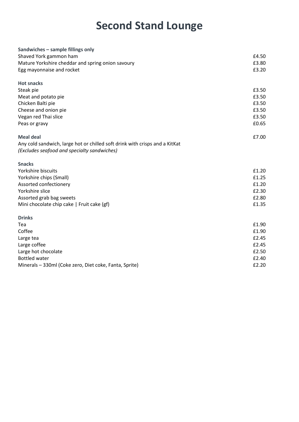#### **Second Stand Lounge**

| Sandwiches - sample fillings only                                           |       |
|-----------------------------------------------------------------------------|-------|
| Shaved York gammon ham                                                      | £4.50 |
| Mature Yorkshire cheddar and spring onion savoury                           | £3.80 |
| Egg mayonnaise and rocket                                                   | £3.20 |
| <b>Hot snacks</b>                                                           |       |
| Steak pie                                                                   | £3.50 |
| Meat and potato pie                                                         | £3.50 |
| Chicken Balti pie                                                           | £3.50 |
| Cheese and onion pie                                                        | £3.50 |
| Vegan red Thai slice                                                        | £3.50 |
| Peas or gravy                                                               | £0.65 |
| <b>Meal deal</b>                                                            | £7.00 |
| Any cold sandwich, large hot or chilled soft drink with crisps and a KitKat |       |
| (Excludes seafood and specialty sandwiches)                                 |       |
| <b>Snacks</b>                                                               |       |
| Yorkshire biscuits                                                          | £1.20 |
| Yorkshire chips (Small)                                                     | £1.25 |
| Assorted confectionery                                                      | £1.20 |
| Yorkshire slice                                                             | £2.30 |
| Assorted grab bag sweets                                                    | £2.80 |
| Mini chocolate chip cake   Fruit cake (gf)                                  | £1.35 |
| <b>Drinks</b>                                                               |       |
| Tea                                                                         | £1.90 |
| Coffee                                                                      | £1.90 |
| Large tea                                                                   | £2.45 |
| Large coffee                                                                | £2.45 |
| Large hot chocolate                                                         | £2.50 |
| <b>Bottled water</b>                                                        | £2.40 |
| Minerals - 330ml (Coke zero, Diet coke, Fanta, Sprite)                      | £2.20 |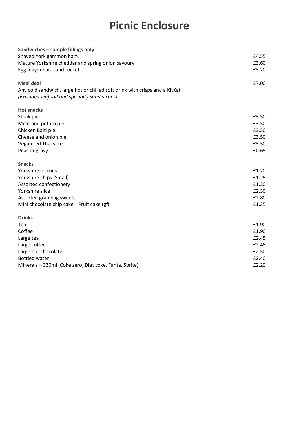#### **Picnic Enclosure**

| Sandwiches - sample fillings only                                           |       |
|-----------------------------------------------------------------------------|-------|
| Shaved York gammon ham                                                      | £4.55 |
| Mature Yorkshire cheddar and spring onion savoury                           | £3.60 |
| Egg mayonnaise and rocket                                                   | £3.20 |
| <b>Meal deal</b>                                                            | £7.00 |
| Any cold sandwich, large hot or chilled soft drink with crisps and a KitKat |       |
| (Excludes seafood and specialty sandwiches)                                 |       |
| <b>Hot snacks</b>                                                           |       |
| Steak pie                                                                   | £3.50 |
| Meat and potato pie                                                         | £3.50 |
| Chicken Balti pie                                                           | £3.50 |
| Cheese and onion pie                                                        | £3.50 |
| Vegan red Thai slice                                                        | £3.50 |
| Peas or gravy                                                               | £0.65 |
| <b>Snacks</b>                                                               |       |
| Yorkshire biscuits                                                          | £1.20 |
| Yorkshire chips (Small)                                                     | £1.25 |
| Assorted confectionery                                                      | £1.20 |
| Yorkshire slice                                                             | £2.30 |
| Assorted grab bag sweets                                                    | £2.80 |
| Mini chocolate chip cake   Fruit cake (gf)                                  | £1.35 |
| <b>Drinks</b>                                                               |       |
| Tea                                                                         | £1.90 |
| Coffee                                                                      | £1.90 |
| Large tea                                                                   | £2.45 |
| Large coffee                                                                | £2.45 |
| Large hot chocolate                                                         | £2.50 |
| <b>Bottled water</b>                                                        | £2.40 |
| Minerals - 330ml (Coke zero, Diet coke, Fanta, Sprite)                      | £2.20 |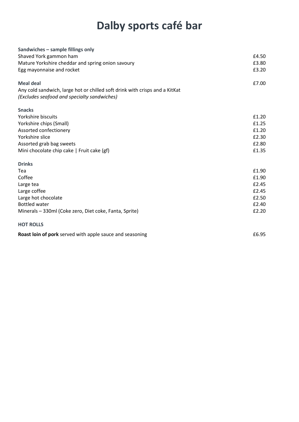## **Dalby sports café bar**

| Sandwiches - sample fillings only                                           |       |
|-----------------------------------------------------------------------------|-------|
| Shaved York gammon ham                                                      | £4.50 |
| Mature Yorkshire cheddar and spring onion savoury                           | £3.80 |
| Egg mayonnaise and rocket                                                   | £3.20 |
| <b>Meal deal</b>                                                            | £7.00 |
| Any cold sandwich, large hot or chilled soft drink with crisps and a KitKat |       |
| (Excludes seafood and specialty sandwiches)                                 |       |
| <b>Snacks</b>                                                               |       |
| Yorkshire biscuits                                                          | £1.20 |
| Yorkshire chips (Small)                                                     | £1.25 |
| Assorted confectionery                                                      | £1.20 |
| Yorkshire slice                                                             | £2.30 |
| Assorted grab bag sweets                                                    | £2.80 |
| Mini chocolate chip cake   Fruit cake (gf)                                  | £1.35 |
| <b>Drinks</b>                                                               |       |
| Tea                                                                         | £1.90 |
| Coffee                                                                      | £1.90 |
| Large tea                                                                   | £2.45 |
| Large coffee                                                                | £2.45 |
| Large hot chocolate                                                         | £2.50 |
| <b>Bottled water</b>                                                        | £2.40 |
| Minerals - 330ml (Coke zero, Diet coke, Fanta, Sprite)                      | £2.20 |
| <b>HOT ROLLS</b>                                                            |       |
| Roast loin of pork served with apple sauce and seasoning                    | £6.95 |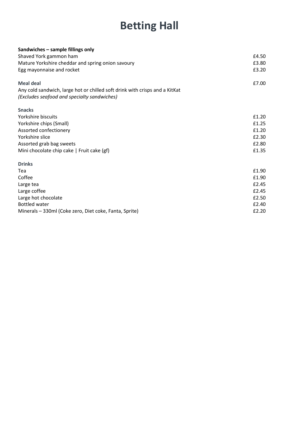## **Betting Hall**

| Sandwiches - sample fillings only                                           |       |
|-----------------------------------------------------------------------------|-------|
| Shaved York gammon ham                                                      | £4.50 |
| Mature Yorkshire cheddar and spring onion savoury                           | £3.80 |
| Egg mayonnaise and rocket                                                   | £3.20 |
| <b>Meal deal</b>                                                            | £7.00 |
| Any cold sandwich, large hot or chilled soft drink with crisps and a KitKat |       |
| (Excludes seafood and specialty sandwiches)                                 |       |
| <b>Snacks</b>                                                               |       |
| Yorkshire biscuits                                                          | £1.20 |
| Yorkshire chips (Small)                                                     | £1.25 |
| Assorted confectionery                                                      | £1.20 |
| Yorkshire slice                                                             | £2.30 |
| Assorted grab bag sweets                                                    | £2.80 |
| Mini chocolate chip cake   Fruit cake (gf)                                  | £1.35 |
| <b>Drinks</b>                                                               |       |
| Tea                                                                         | £1.90 |
| Coffee                                                                      | £1.90 |
| Large tea                                                                   | £2.45 |
| Large coffee                                                                | £2.45 |
| Large hot chocolate                                                         | £2.50 |
| <b>Bottled water</b>                                                        | £2.40 |
| Minerals - 330ml (Coke zero, Diet coke, Fanta, Sprite)                      | £2.20 |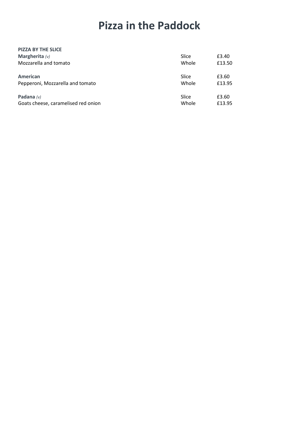#### **Pizza in the Paddock**

| <b>PIZZA BY THE SLICE</b>           |       |        |
|-------------------------------------|-------|--------|
| Margherita $(v)$                    | Slice | £3.40  |
| Mozzarella and tomato               | Whole | £13.50 |
| <b>American</b>                     | Slice | £3.60  |
| Pepperoni, Mozzarella and tomato    | Whole | £13.95 |
| Padana $(v)$                        | Slice | £3.60  |
| Goats cheese, caramelised red onion | Whole | £13.95 |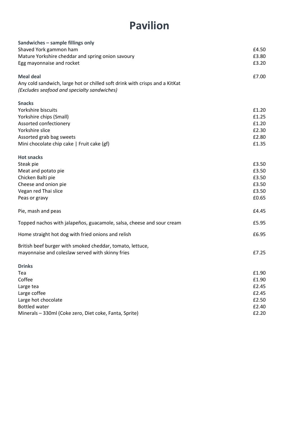#### **Pavilion**

| Sandwiches - sample fillings only                                           |       |
|-----------------------------------------------------------------------------|-------|
| Shaved York gammon ham                                                      | £4.50 |
| Mature Yorkshire cheddar and spring onion savoury                           | £3.80 |
| Egg mayonnaise and rocket                                                   | £3.20 |
| <b>Meal deal</b>                                                            | £7.00 |
| Any cold sandwich, large hot or chilled soft drink with crisps and a KitKat |       |
| (Excludes seafood and specialty sandwiches)                                 |       |
| <b>Snacks</b>                                                               |       |
| Yorkshire biscuits                                                          | £1.20 |
| Yorkshire chips (Small)                                                     | £1.25 |
| Assorted confectionery                                                      | £1.20 |
| Yorkshire slice                                                             | £2.30 |
| Assorted grab bag sweets                                                    | £2.80 |
| Mini chocolate chip cake   Fruit cake (gf)                                  | £1.35 |
| <b>Hot snacks</b>                                                           |       |
| Steak pie                                                                   | £3.50 |
| Meat and potato pie                                                         | £3.50 |
| Chicken Balti pie                                                           | £3.50 |
| Cheese and onion pie                                                        | £3.50 |
| Vegan red Thai slice                                                        | £3.50 |
| Peas or gravy                                                               | £0.65 |
| Pie, mash and peas                                                          | £4.45 |
| Topped nachos with jalapeños, guacamole, salsa, cheese and sour cream       | £5.95 |
| Home straight hot dog with fried onions and relish                          | £6.95 |
| British beef burger with smoked cheddar, tomato, lettuce,                   |       |
| mayonnaise and coleslaw served with skinny fries                            | £7.25 |
| <b>Drinks</b>                                                               |       |
| Tea                                                                         | £1.90 |
| Coffee                                                                      | £1.90 |
| Large tea                                                                   | £2.45 |
| Large coffee                                                                | £2.45 |
| Large hot chocolate                                                         | £2.50 |
| <b>Bottled water</b>                                                        | £2.40 |
| Minerals - 330ml (Coke zero, Diet coke, Fanta, Sprite)                      | £2.20 |